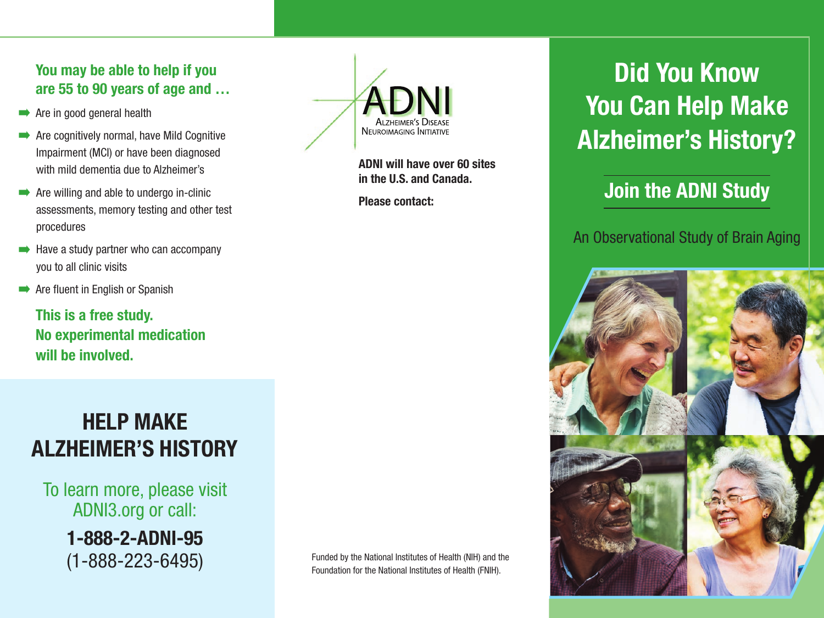#### **You may be able to help if you are 55 to 90 years of age and …**

- $\rightarrow$  Are in good general health
- **Are cognitively normal, have Mild Cognitive** Impairment (MCI) or have been diagnosed with mild dementia due to Alzheimer's
- $\rightarrow$  Are willing and able to undergo in-clinic assessments, memory testing and other test procedures
- $\rightarrow$  Have a study partner who can accompany you to all clinic visits
- **Are fluent in English or Spanish**

**This is a free study. No experimental medication will be involved.**

### **HELP MAKE ALZHEIMER'S HISTORY**

To learn more, please visit ADNI3.org or call:

**1-888-2-ADNI-95**



**ADNI will have over 60 sites in the U.S. and Canada.**

**Please contact:**

## **Did You Know You Can Help Make Alzheimer's History?**

### **Join the ADNI Study**

#### An Observational Study of Brain Aging



 $(1-888-223-6495)$  Funded by the National Institutes of Health (NIH) and the Foundation for the National Institutes of Health (FNIH).